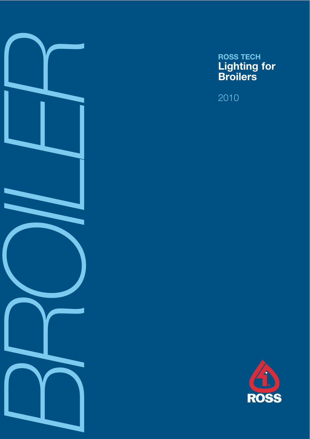

# **ROSS TECH Lighting for Broilers**

2010

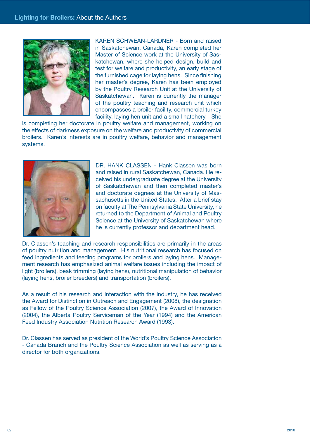

KAREN SCHWEAN-LARDNER - Born and raised in Saskatchewan, Canada, Karen completed her Master of Science work at the University of Saskatchewan, where she helped design, build and test for welfare and productivity, an early stage of the furnished cage for laying hens. Since finishing her master's degree, Karen has been employed by the Poultry Research Unit at the University of Saskatchewan. Karen is currently the manager of the poultry teaching and research unit which encompasses a broiler facility, commercial turkey facility, laying hen unit and a small hatchery. She

is completing her doctorate in poultry welfare and management, working on the effects of darkness exposure on the welfare and productivity of commercial broilers. Karen's interests are in poultry welfare, behavior and management systems.



DR. HANK CLASSEN - Hank Classen was born and raised in rural Saskatchewan, Canada. He received his undergraduate degree at the University of Saskatchewan and then completed master's and doctorate degrees at the University of Massachusetts in the United States. After a brief stay on faculty at The Pennsylvania State University, he returned to the Department of Animal and Poultry Science at the University of Saskatchewan where he is currently professor and department head.

Dr. Classen's teaching and research responsibilities are primarily in the areas of poultry nutrition and management. His nutritional research has focused on feed ingredients and feeding programs for broilers and laying hens. Management research has emphasized animal welfare issues including the impact of light (broilers), beak trimming (laying hens), nutritional manipulation of behavior (laying hens, broiler breeders) and transportation (broilers).

As a result of his research and interaction with the industry, he has received the Award for Distinction in Outreach and Engagement (2008), the designation as Fellow of the Poultry Science Association (2007), the Award of Innovation (2004), the Alberta Poultry Serviceman of the Year (1994) and the American Feed Industry Association Nutrition Research Award (1993).

Dr. Classen has served as president of the World's Poultry Science Association - Canada Branch and the Poultry Science Association as well as serving as a director for both organizations.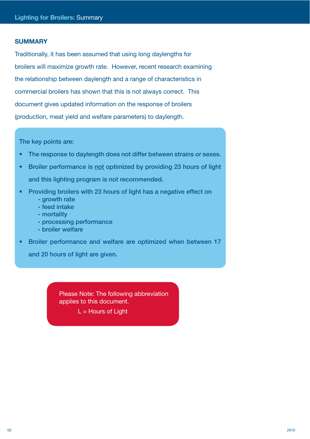# **SUMMARY**

Traditionally, it has been assumed that using long daylengths for broilers will maximize growth rate. However, recent research examining the relationship between daylength and a range of characteristics in commercial broilers has shown that this is not always correct. This document gives updated information on the response of broilers (production, meat yield and welfare parameters) to daylength.

The key points are:

- The response to daylength does not differ between strains or sexes.
- Broiler performance is not optimized by providing 23 hours of light and this lighting program is not recommended.
- Providing broilers with 23 hours of light has a negative effect on - growth rate
	- feed intake
	- mortality
	- processing performance
	- broiler welfare
- Broiler performance and welfare are optimized when between 17

and 20 hours of light are given.

Please Note: The following abbreviation applies to this document.

 $L =$  Hours of Light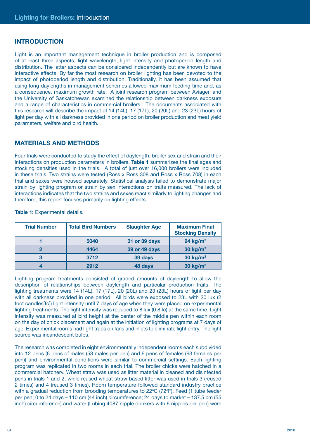# **INTRODUCTION**

Light is an important management technique in broiler production and is composed of at least three aspects, light wavelength, light intensity and photoperiod length and distribution. The latter aspects can be considered independently but are known to have interactive effects. By far the most research on broiler lighting has been devoted to the impact of photoperiod length and distribution. Traditionally, it has been assumed that using long daylengths in management schemes allowed maximum feeding time and, as a consequence, maximum growth rate. A joint research program between Aviagen and the University of Saskatchewan examined the relationship between darkness exposure and a range of characteristics in commercial broilers. The documents associated with this research will describe the impact of 14 (14L), 17 (17L), 20 (20L) and 23 (23L) hours of light per day with all darkness provided in one period on broiler production and meat yield parameters, welfare and bird health.

# **MATERIALS AND METHODS**

Four trials were conducted to study the effect of daylength, broiler sex and strain and their interactions on production parameters in broilers. **Table 1** summarizes the final ages and stocking densities used in the trials. A total of just over 16,000 broilers were included in these trials. Two strains were tested (Ross x Ross 308 and Ross x Ross 708) in each trial and sexes were housed separately. Statistical analysis failed to demonstrate major strain by lighting program or strain by sex interactions on traits measured. The lack of interactions indicates that the two strains and sexes react similarly to lighting changes and therefore, this report focuses primarily on lighting effects.

| <b>Trial Number</b> | <b>Total Bird Numbers</b> | <b>Slaughter Age</b> | <b>Maximum Final</b><br><b>Stocking Density</b> |
|---------------------|---------------------------|----------------------|-------------------------------------------------|
|                     | 5040                      | 31 or 39 days        | 24 kg/ $m2$                                     |
|                     | 4464                      | 39 or 49 days        | 30 $kg/m2$                                      |
| 3                   | 3712                      | 39 days              | 30 $kg/m2$                                      |
|                     | 2912                      | 48 days              | $30 \text{ kg/m}^2$                             |

**Table 1:** Experimental details.

Lighting program treatments consisted of graded amounts of daylength to allow the description of relationships between daylength and particular production traits. The lighting treatments were 14 (14L), 17 (17L), 20 (20L) and 23 (23L) hours of light per day with all darkness provided in one period. All birds were exposed to 23L with 20 lux (2 foot candles[fc]) light intensity until 7 days of age when they were placed on experimental lighting treatments. The light intensity was reduced to 8 lux (0.8 fc) at the same time. Light intensity was measured at bird height at the center of the middle pen within each room on the day of chick placement and again at the initiation of lighting programs at 7 days of age. Experimental rooms had light traps on fans and inlets to eliminate light entry. The light source was incandescent bulbs.

The research was completed in eight environmentally independent rooms each subdivided into 12 pens (6 pens of males (53 males per pen) and 6 pens of females (63 females per pen)) and environmental conditions were similar to commercial settings. Each lighting program was replicated in two rooms in each trial. The broiler chicks were hatched in a commercial hatchery. Wheat straw was used as litter material in cleaned and disinfected pens in trials 1 and 2, while reused wheat straw based litter was used in trials 3 (reused 2 times) and 4 (reused 3 times). Room temperature followed standard industry practice with a gradual reduction from brooding temperatures to  $22^{\circ}C$  (72 $^{\circ}F$ ). Feed (1 tube feeder per pen; 0 to 24 days – 110 cm (44 inch) circumference; 24 days to market – 137.5 cm (55 inch) circumference) and water (Lubing 4087 nipple drinkers with 6 nipples per pen) were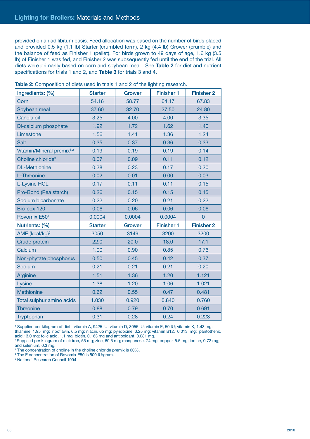provided on an ad libitum basis. Feed allocation was based on the number of birds placed and provided 0.5 kg (1.1 lb) Starter (crumbled form), 2 kg (4.4 lb) Grower (crumble) and the balance of feed as Finisher 1 (pellet). For birds grown to 49 days of age, 1.6 kg (3.5 lb) of Finisher 1 was fed, and Finisher 2 was subsequently fed until the end of the trial. All diets were primarily based on corn and soybean meal. See **Table 2** for diet and nutrient specifications for trials 1 and 2, and **Table 3** for trials 3 and 4.

| Ingredients: (%)                      | <b>Starter</b> | <b>Grower</b> | <b>Finisher 1</b> | <b>Finisher 2</b> |
|---------------------------------------|----------------|---------------|-------------------|-------------------|
| Corn                                  | 54.16          | 58.77         | 64.17             | 67.83             |
| Soybean meal                          | 37.60          | 32.70         | 27.50             | 24.80             |
| Canola oil                            | 3.25           | 4.00          | 4.00              | 3.35              |
| Di-calcium phosphate                  | 1.92           | 1.72          | 1.62              | 1.40              |
| Limestone                             | 1.56           | 1.41          | 1.36              | 1.24              |
| Salt                                  | 0.35           | 0.37          | 0.36              | 0.33              |
| Vitamin/Mineral premix <sup>1,2</sup> | 0.19           | 0.19          | 0.19              | 0.14              |
| Choline chloride <sup>3</sup>         | 0.07           | 0.09          | 0.11              | 0.12              |
| <b>DL-Methionine</b>                  | 0.28           | 0.23          | 0.17              | 0.20              |
| L-Threonine                           | 0.02           | 0.01          | 0.00              | 0.03              |
| <b>L-Lysine HCL</b>                   | 0.17           | 0.11          | 0.11              | 0.15              |
| Pro-Bond (Pea starch)                 | 0.26           | 0.15          | 0.15              | 0.15              |
| Sodium bicarbonate                    | 0.22           | 0.20          | 0.21              | 0.22              |
| Bio-cox 120                           | 0.06           | 0.06          | 0.06              | 0.06              |
| Rovomix E50 <sup>4</sup>              | 0.0004         | 0.0004        | 0.0004            | $\overline{0}$    |
| Nutrients: (%)                        | <b>Starter</b> | <b>Grower</b> | <b>Finisher 1</b> | <b>Finisher 2</b> |
| AME (kcal/kg) <sup>5</sup>            | 3050           | 3149          | 3200              | 3200              |
| Crude protein                         | 22.0           | 20.0          | 18.0              | 17.1              |
| Calcium                               | 1.00           | 0.90          | 0.85              | 0.76              |
| Non-phytate phosphorus                | 0.50           | 0.45          | 0.42              | 0.37              |
| Sodium                                | 0.21           | 0.21          | 0.21              | 0.20              |
| Arginine                              | 1.51           | 1.36          | 1.20              | 1.121             |
| Lysine                                | 1.38           | 1.20          | 1.06              | 1.021             |
| <b>Methionine</b>                     | 0.62           | 0.55          | 0.47              | 0.481             |
| Total sulphur amino acids             | 1.030          | 0.920         | 0.840             | 0.760             |
| <b>Threonine</b>                      | 0.88           | 0.79          | 0.70              | 0.691             |
| Tryptophan                            | 0.31           | 0.28          | 0.24              | 0.223             |

**Table 2:** Composition of diets used in trials 1 and 2 of the lighting research.

1 Supplied per kilogram of diet: vitamin A, 9425 IU; vitamin D, 3055 IU; vitamin E, 50 IU; vitamin K, 1.43 mg; thiamine, 1.95 mg; riboflavin, 6.5 mg; niacin, 65 mg; pyridoxine, 3.25 mg; vitamin B12, 0.013 mg; pantothenic acid,13.0 mg; folic acid, 1.1 mg; biotin, 0.163 mg and antioxidant, 0.081 mg.

2 Supplied per kilogram of diet: iron, 55 mg; zinc, 60.5 mg; manganese, 74 mg; copper, 5.5 mg; iodine, 0.72 mg; and selenium, 0.3 mg.

<sup>3</sup> The concentration of choline in the choline chloride premix is 60%.

4 The E concentration of Rovomix E50 is 500 IU/gram.

5 National Research Council 1994.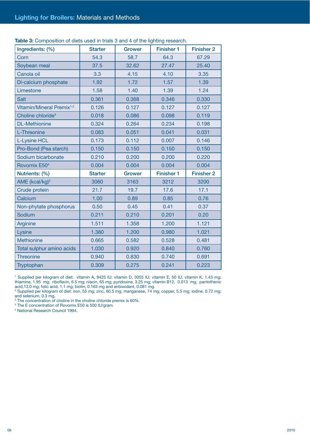| Ingredients: (%)                      | <b>Starter</b> | <b>Grower</b> | <b>Finisher 1</b> | <b>Finisher 2</b> |
|---------------------------------------|----------------|---------------|-------------------|-------------------|
| Corn                                  | 54.3           | 58.7          | 64.3              | 67.29             |
| Soybean meal                          | 37.5           | 32.62         | 27.47             | 25.40             |
| Canola oil                            | 3.3            | 4.15          | 4.10              | 3.35              |
| Di-calcium phosphate                  | 1.92           | 1.72          | 1.57              | 1.39              |
| Limestone                             | 1.58           | 1.40          | 1.39              | 1.24              |
| Salt                                  | 0.361          | 0.368         | 0.346             | 0.330             |
| Vitamin/Mineral Premix <sup>1,2</sup> | 0.126          | 0.127         | 0.127             | 0.127             |
| Choline chloride <sup>3</sup>         | 0.018          | 0.086         | 0.098             | 0.119             |
| <b>DL-Methionine</b>                  | 0.324          | 0.264         | 0.234             | 0.198             |
| L-Threonine                           | 0.083          | 0.051         | 0.041             | 0.031             |
| <b>L-Lysine HCL</b>                   | 0.173          | 0.112         | 0.007             | 0.146             |
| Pro-Bond (Pea starch)                 | 0.150          | 0.150         | 0.150             | 0.150             |
| Sodium bicarbonate                    | 0.210          | 0.200         | 0.200             | 0.220             |
| Rovomix E50 <sup>4</sup>              | 0.004          | 0.004         | 0.004             | 0.004             |
| Nutrients: (%)                        | <b>Starter</b> | <b>Grower</b> | <b>Finisher 1</b> | <b>Finisher 2</b> |
| AME (kcal/kg) <sup>5</sup>            | 3060           | 3163          | 3212              | 3200              |
| Crude protein                         | 21.7           | 19.7          | 17.6              | 17.1              |
| Calcium                               | 1.00           | 0.89          | 0.85              | 0.76              |
| Non-phytate phosphorus                | 0.50           | 0.45          | 0.41              | 0.37              |
| Sodium                                | 0.211          | 0.210         | 0.201             | 0.20              |
| Arginine                              | 1.511          | 1.358         | 1.200             | 1.121             |
| Lysine                                | 1.380          | 1.200         | 0.980             | 1.021             |
| Methionine                            | 0.665          | 0.582         | 0.528             | 0.481             |
| Total sulphur amino acids             | 1.030          | 0.920         | 0.840             | 0.760             |
| Threonine                             | 0.940          | 0.830         | 0.740             | 0.691             |
| Tryptophan                            | 0.309          | 0.275         | 0.241             | 0.223             |

Table 3: Composition of diets used in trials 3 and 4 of the lighting research.

1 Supplied per kilogram of diet: vitamin A, 9425 IU; vitamin D, 3055 IU; vitamin E, 50 IU; vitamin K, 1.43 mg; thiamine, 1.95 mg; riboflavin, 6.5 mg; niacin, 65 mg; pyridoxine, 3.25 mg; vitamin B12, 0.013 mg; pantothenic

acid,13.0 mg; folic acid, 1.1 mg; biotin, 0.163 mg and antioxidant, 0.081 mg. 2 Supplied per kilogram of diet: iron, 55 mg; zinc, 60.5 mg; manganese, 74 mg; copper, 5.5 mg; iodine, 0.72 mg;

and selenium, 0.3 mg. 3 The concentration of choline in the choline chloride premix is 60%. 4 The E concentration of Rovomix E50 is 500 IU/gram.

5 National Research Council 1994.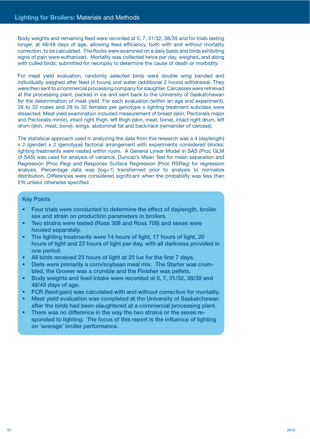Body weights and remaining feed were recorded at 0, 7, 31/32, 38/39 and for trials lasting longer, at 48/49 days of age, allowing feed efficiency, both with and without mortality correction, to be calculated. The flocks were examined on a daily basis and birds exhibiting signs of pain were euthanized. Mortality was collected twice per day, weighed, and along with culled birds, submitted for necropsy to determine the cause of death or morbidity.

For meat yield evaluation, randomly selected birds were double wing banded and individually weighed after feed (4 hours) and water (additional 2 hours) withdrawal. They were then sent to a commercial processing company for slaughter. Carcasses were retrieved at the processing plant, packed in ice and sent back to the University of Saskatchewan for the determination of meat yield. For each evaluation (within an age and experiment), 28 to 32 males and 28 to 32 females per genotype x lighting treatment subclass were dissected. Meat yield examination included measurement of breast (skin, Pectoralis major and Pectoralis minor), intact right thigh, left thigh (skin, meat, bone), intact right drum, left drum (skin, meat, bone), wings, abdominal fat and back/rack (remainder of carcass).

The statistical approach used in analyzing the data from this research was a 4 (daylength) x 2 (gender) x 2 (genotype) factorial arrangement with experiments considered blocks; lighting treatments were nested within room. A General Linear Model in SAS (Proc GLM of SAS) was used for analysis of variance, Duncan's Mean Test for mean separation and Regression (Proc Reg) and Response Surface Regression (Proc RSReg) for regression analysis. Percentage data was (log+1) transformed prior to analysis to normalize distribution. Differences were considered significant when the probability was less than 5% unless otherwise specified.

#### Key Points

- Four trials were conducted to determine the effect of daylength, broiler sex and strain on production parameters in broilers.
- Two strains were tested (Ross 308 and Ross 708) and sexes were housed separately.
- The lighting treatments were 14 hours of light, 17 hours of light, 20 hours of light and 23 hours of light per day, with all darkness provided in one period.
- All birds received 23 hours of light at 20 lux for the first 7 days.
- Diets were primarily a corn/soybean meal mix. The Starter was crumbled, the Grower was a crumble and the Finisher was pellets.
- Body weights and feed intake were recorded at 0, 7, 31/32, 38/39 and 48/49 days of age.
- FCR (feed:gain) was calculated with and without correction for mortality.
- Meat yield evaluation was completed at the University of Saskatchewan after the birds had been slaughtered at a commercial processing plant.
- There was no difference in the way the two strains or the sexes responded to lighting. The focus of this report is the influence of lighting on 'average' broiler performance.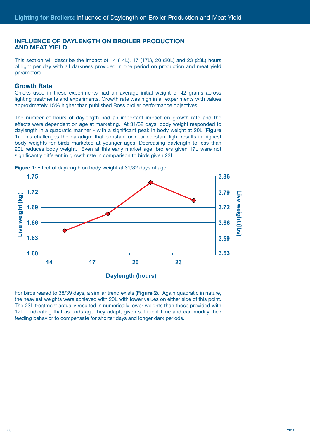# **INFLUENCE OF DAYLENGTH ON BROILER PRODUCTION AND MEAT YIELD**

This section will describe the impact of 14 (14L), 17 (17L), 20 (20L) and 23 (23L) hours of light per day with all darkness provided in one period on production and meat yield parameters.

#### **Growth Rate**

Chicks used in these experiments had an average initial weight of 42 grams across lighting treatments and experiments. Growth rate was high in all experiments with values approximately 15% higher than published Ross broiler performance objectives.

The number of hours of daylength had an important impact on growth rate and the effects were dependent on age at marketing. At 31/32 days, body weight responded to daylength in a quadratic manner - with a significant peak in body weight at 20L (**Figure 1**). This challenges the paradigm that constant or near-constant light results in highest body weights for birds marketed at younger ages. Decreasing daylength to less than 20L reduces body weight. Even at this early market age, broilers given 17L were not significantly different in growth rate in comparison to birds given 23L.



**Figure 1:** Effect of daylength on body weight at 31/32 days of age.

For birds reared to 38/39 days, a similar trend exists (**Figure 2**). Again quadratic in nature, the heaviest weights were achieved with 20L with lower values on either side of this point. The 23L treatment actually resulted in numerically lower weights than those provided with 17L - indicating that as birds age they adapt, given sufficient time and can modify their feeding behavior to compensate for shorter days and longer dark periods.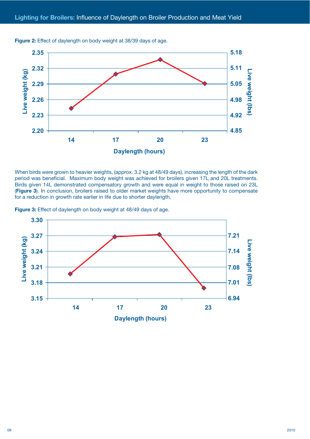

**Figure 2:** Effect of daylength on body weight at 38/39 days of age.

When birds were grown to heavier weights, (approx. 3.2 kg at 48/49 days), increasing the length of the dark period was beneficial. Maximum body weight was achieved for broilers given 17L and 20L treatments. Birds given 14L demonstrated compensatory growth and were equal in weight to those raised on 23L (**Figure 3**). In conclusion, broilers raised to older market weights have more opportunity to compensate for a reduction in growth rate earlier in life due to shorter daylength.

**Figure 3:** Effect of daylength on body weight at 48/49 days of age.

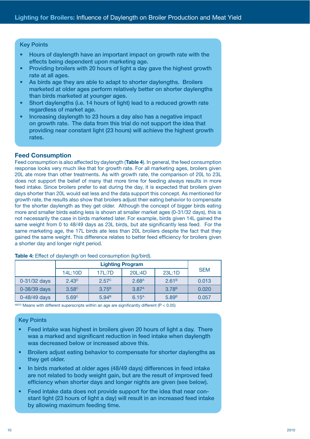#### Key Points

- Hours of daylength have an important impact on growth rate with the effects being dependent upon marketing age.
- Providing broilers with 20 hours of light a day gave the highest growth rate at all ages.
- As birds age they are able to adapt to shorter daylengths. Broilers marketed at older ages perform relatively better on shorter daylengths than birds marketed at younger ages.
- Short daylengths (i.e. 14 hours of light) lead to a reduced growth rate regardless of market age.
- Increasing daylength to 23 hours a day also has a negative impact on growth rate. The data from this trial do not support the idea that providing near constant light (23 hours) will achieve the highest growth rates.

# **Feed Consumption**

Feed consumption is also affected by daylength (**Table 4**). In general, the feed consumption response looks very much like that for growth rate. For all marketing ages, broilers given 20L ate more than other treatments. As with growth rate, the comparison of 20L to 23L does not support the belief of many that more time for feeding always results in more feed intake. Since broilers prefer to eat during the day, it is expected that broilers given days shorter than 20L would eat less and the data support this concept. As mentioned for growth rate, the results also show that broilers adjust their eating behavior to compensate for the shorter daylength as they get older. Although the concept of bigger birds eating more and smaller birds eating less is shown at smaller market ages (0-31/32 days), this is not necessarily the case in birds marketed later. For example, birds given 14L gained the same weight from 0 to 48/49 days as 23L birds, but ate significantly less feed. For the same marketing age, the 17L birds ate less than 20L broilers despite the fact that they gained the same weight. This difference relates to better feed efficiency for broilers given a shorter day and longer night period.

|              | 14L:10D           | 17L:7D            | <b>SEM</b>        |                   |       |
|--------------|-------------------|-------------------|-------------------|-------------------|-------|
| 0-31/32 days | $2.43^{D}$        | 2.57 <sup>c</sup> | 2.68 <sup>A</sup> | 2.61 <sup>B</sup> | 0.013 |
| 0-38/39 days | 3.58 <sup>c</sup> | 3.75 <sup>B</sup> | 3.87 <sup>A</sup> | 3.78 <sup>B</sup> | 0.020 |
| 0-48/49 days | 5.69 <sup>c</sup> | 5.94 <sup>B</sup> | $6.15^{A}$        | 5.89 <sup>B</sup> | 0.057 |

**Table 4:** Effect of daylength on feed consumption (kg/bird).

ABCD Means with different superscripts within an age are significantly different ( $P < 0.05$ )

#### Key Points

- Feed intake was highest in broilers given 20 hours of light a day. There was a marked and significant reduction in feed intake when daylength was decreased below or increased above this.
- Broilers adjust eating behavior to compensate for shorter daylengths as they get older.
- In birds marketed at older ages (48/49 days) differences in feed intake are not related to body weight gain, but are the result of improved feed efficiency when shorter days and longer nights are given (see below).
- Feed intake data does not provide support for the idea that near constant light (23 hours of light a day) will result in an increased feed intake by allowing maximum feeding time.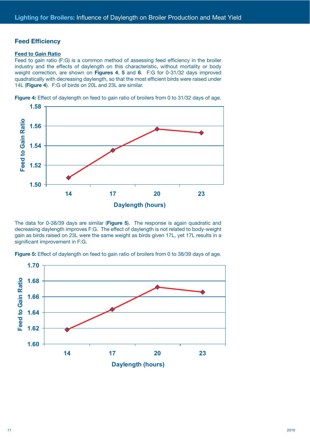# **Feed Efficiency**

#### **Feed to Gain Ratio**

Feed to gain ratio (F:G) is a common method of assessing feed efficiency in the broiler industry and the effects of daylength on this characteristic, without mortality or body weight correction, are shown on **Figures 4**, **5** and **6**. F:G for 0-31/32 days improved quadratically with decreasing daylength, so that the most efficient birds were raised under 14L (**Figure 4**). F:G of birds on 20L and 23L are similar.



**Figure 4:** Effect of daylength on feed to gain ratio of broilers from 0 to 31/32 days of age.

The data for 0-38/39 days are similar (**Figure 5**). The response is again quadratic and decreasing daylength improves F:G. The effect of daylength is not related to body-weight gain as birds raised on 23L were the same weight as birds given 17L, yet 17L results in a significant improvement in F:G.



**Figure 5:** Effect of daylength on feed to gain ratio of broilers from 0 to 38/39 days of age.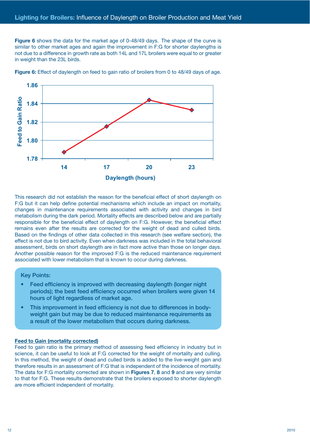**Figure 6** shows the data for the market age of 0-48/49 days. The shape of the curve is similar to other market ages and again the improvement in F:G for shorter daylengths is not due to a difference in growth rate as both 14L and 17L broilers were equal to or greater in weight than the 23L birds.



**Figure 6:** Effect of daylength on feed to gain ratio of broilers from 0 to 48/49 days of age.

This research did not establish the reason for the beneficial effect of short daylength on F:G but it can help define potential mechanisms which include an impact on mortality, changes in maintenance requirements associated with activity and changes in bird metabolism during the dark period. Mortality effects are described below and are partially responsible for the beneficial effect of daylength on F:G. However, the beneficial effect remains even after the results are corrected for the weight of dead and culled birds. Based on the findings of other data collected in this research (see welfare section), the effect is not due to bird activity. Even when darkness was included in the total behavioral assessment, birds on short daylength are in fact more active than those on longer days. Another possible reason for the improved F:G is the reduced maintenance requirement associated with lower metabolism that is known to occur during darkness.

#### Key Points:

- Feed efficiency is improved with decreasing daylength (longer night periods); the best feed efficiency occurred when broilers were given 14 hours of light regardless of market age.
- This improvement in feed efficiency is not due to differences in bodyweight gain but may be due to reduced maintenance requirements as a result of the lower metabolism that occurs during darkness.

#### **Feed to Gain (mortality corrected)**

Feed to gain ratio is the primary method of assessing feed efficiency in industry but in science, it can be useful to look at F:G corrected for the weight of mortality and culling. In this method, the weight of dead and culled birds is added to the live-weight gain and therefore results in an assessment of F:G that is independent of the incidence of mortality. The data for F:G mortality corrected are shown in **Figures 7**, **8** and **9** and are very similar to that for F:G. These results demonstrate that the broilers exposed to shorter daylength are more efficient independent of mortality.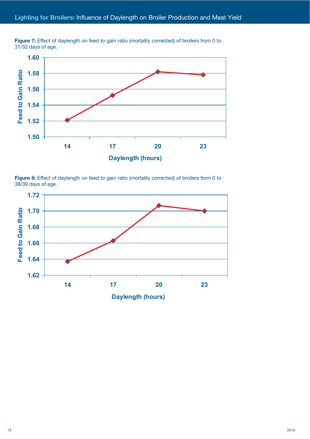



**Figure 8:** Effect of daylength on feed to gain ratio (mortality corrected) of broilers from 0 to 38/39 days of age.

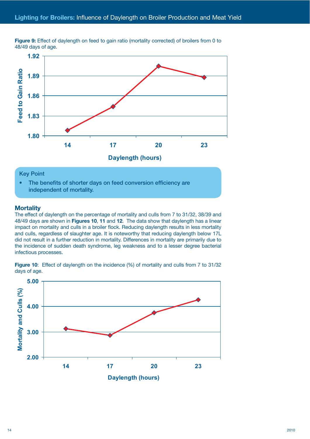

**Figure 9:** Effect of daylength on feed to gain ratio (mortality corrected) of broilers from 0 to 48/49 days of age.

# **Key Point**

• The benefits of shorter days on feed conversion efficiency are independent of mortality.

#### **Mortality**

The effect of daylength on the percentage of mortality and culls from 7 to 31/32, 38/39 and 48/49 days are shown in **Figures 10**, **11** and **12**. The data show that daylength has a linear impact on mortality and culls in a broiler flock. Reducing daylength results in less mortality and culls, regardless of slaughter age. It is noteworthy that reducing daylength below 17L did not result in a further reduction in mortality. Differences in mortality are primarily due to the incidence of sudden death syndrome, leg weakness and to a lesser degree bacterial infectious processes. **Example 19 Follow Franch Concerned Accords**<br> **XOOTABLITY**<br> **Mortality**<br>
the effect of<br>
8/49 days a<br>
mpact on me<br>
and culls, region of result<br>
incidence<br>
fectious provided incidence<br> **SOOTABLITY**<br>
SOOTABLITY<br>
<u>SOOTABLITY</u><br>

**Figure 10:** Effect of daylength on the incidence (%) of mortality and culls from 7 to 31/32 days of age.

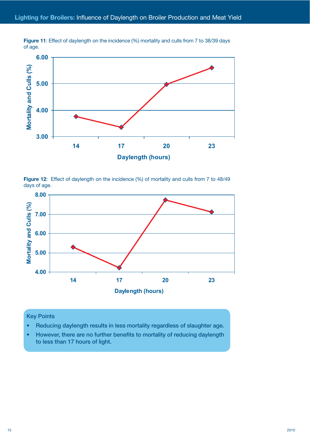

**Figure 11:** Effect of daylength on the incidence (%) mortality and culls from 7 to 38/39 days of age.

Figure 12: Effect of daylength on the incidence (%) of mortality and culls from 7 to 48/49 days of age.

![](_page_14_Figure_4.jpeg)

#### Key Points

- Reducing daylength results in less mortality regardless of slaughter age.
- However, there are no further benefits to mortality of reducing daylength to less than 17 hours of light.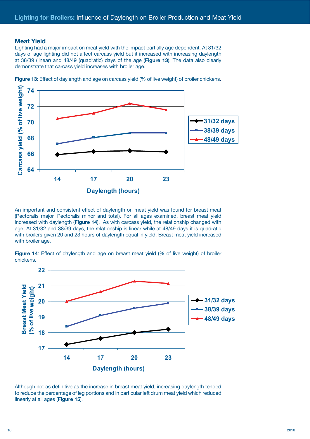# **Meat Yield**

Lighting had a major impact on meat yield with the impact partially age dependent. At 31/32 days of age lighting did not affect carcass yield but it increased with increasing daylength at 38/39 (linear) and 48/49 (quadratic) days of the age (**Figure 13**). The data also clearly demonstrate that carcass yield increases with broiler age.

![](_page_15_Figure_3.jpeg)

**Figure 13**: Effect of daylength and age on carcass yield (% of live weight) of broiler chickens.

An important and consistent effect of daylength on meat yield was found for breast meat (Pectoralis major, Pectoralis minor and total). For all ages examined, breast meat yield increased with daylength (**Figure 14**). As with carcass yield, the relationship changed with age. At 31/32 and 38/39 days, the relationship is linear while at 48/49 days it is quadratic with broilers given 20 and 23 hours of daylength equal in yield. Breast meat yield increased with broiler age.

**Figure 14:** Effect of daylength and age on breast meat yield (% of live weight) of broiler chickens.

![](_page_15_Figure_7.jpeg)

Although not as definitive as the increase in breast meat yield, increasing daylength tended to reduce the percentage of leg portions and in particular left drum meat yield which reduced linearly at all ages (**Figure 15**).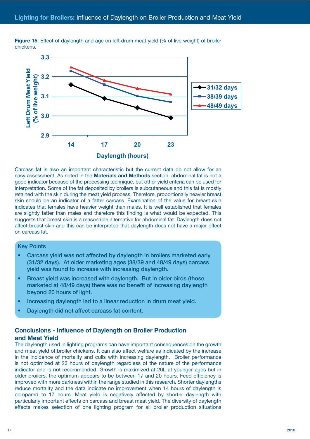![](_page_16_Figure_1.jpeg)

**Figure 15**: Effect of daylength and age on left drum meat yield (% of live weight) of broiler chickens.

Carcass fat is also an important characteristic but the current data do not allow for an easy assessment. As noted in the **Materials and Methods** section, abdominal fat is not a good indicator because of the processing technique, but other yield criteria can be used for interpretation. Some of the fat deposited by broilers is subcutaneous and this fat is mostly retained with the skin during the meat yield process. Therefore, proportionally heavier breast skin should be an indicator of a fatter carcass. Examination of the value for breast skin indicates that females have heavier weight than males. It is well established that females are slightly fatter than males and therefore this finding is what would be expected. This suggests that breast skin is a reasonable alternative for abdominal fat. Daylength does not affect breast skin and this can be interpreted that daylength does not have a major effect on carcass fat.

# Key Points

- Carcass yield was not affected by daylength in broilers marketed early (31/32 days). At older marketing ages (38/39 and 48/49 days) carcass yield was found to increase with increasing daylength.
- Breast yield was increased with daylength. But in older birds (those marketed at 48/49 days) there was no benefit of increasing daylength beyond 20 hours of light.
- Increasing daylength led to a linear reduction in drum meat yield.
- Daylength did not affect carcass fat content.

# **Conclusions - Influence of Daylength on Broiler Production and Meat Yield**

The daylength used in lighting programs can have important consequences on the growth and meat yield of broiler chickens. It can also affect welfare as indicated by the increase in the incidence of mortality and culls with increasing daylength. Broiler performance is not optimized at 23 hours of daylength regardless of the nature of the performance indicator and is not recommended. Growth is maximized at 20L at younger ages but in older broilers, the optimum appears to be between 17 and 20 hours. Feed efficiency is improved with more darkness within the range studied in this research. Shorter daylengths reduce mortality and the data indicate no improvement when 14 hours of daylength is compared to 17 hours. Meat yield is negatively affected by shorter daylength with particularly important effects on carcass and breast meat yield. The diversity of daylength effects makes selection of one lighting program for all broiler production situations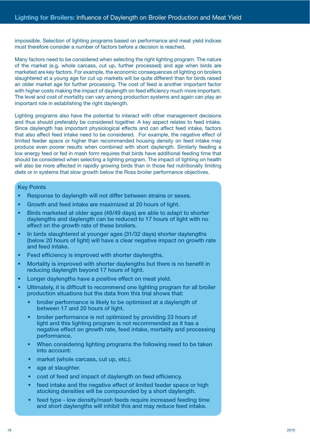impossible. Selection of lighting programs based on performance and meat yield indices must therefore consider a number of factors before a decision is reached.

Many factors need to be considered when selecting the right lighting program. The nature of the market (e.g. whole carcass, cut up, further processed) and age when birds are marketed are key factors. For example, the economic consequences of lighting on broilers slaughtered at a young age for cut up markets will be quite different than for birds raised an older market age for further processing. The cost of feed is another important factor with higher costs making the impact of daylength on feed efficiency much more important. The level and cost of mortality can vary among production systems and again can play an important role in establishing the right daylength.

Lighting programs also have the potential to interact with other management decisions and thus should preferably be considered together. A key aspect relates to feed intake. Since daylength has important physiological effects and can affect feed intake, factors that also affect feed intake need to be considered. For example, the negative effect of limited feeder space or higher than recommended housing density on feed intake may produce even poorer results when combined with short daylength. Similarly feeding a low energy feed or fed in mash form requires that birds have additional feeding time that should be considered when selecting a lighting program. The impact of lighting on health will also be more affected in rapidly growing birds than in those fed nutritionally limiting diets or in systems that slow growth below the Ross broiler performance objectives.

#### Key Points

- Response to daylength will not differ between strains or sexes.
- Growth and feed intake are maximized at 20 hours of light.
- Birds marketed at older ages (48/49 days) are able to adapt to shorter daylengths and daylength can be reduced to 17 hours of light with no effect on the growth rate of these broilers.
- In birds slaughtered at younger ages (31/32 days) shorter daylengths (below 20 hours of light) will have a clear negative impact on growth rate and feed intake.
- Feed efficiency is improved with shorter daylengths.
- Mortality is improved with shorter daylengths but there is no benefit in reducing daylength beyond 17 hours of light.
- Longer daylengths have a positive effect on meat yield.
- Ultimately, it is difficult to recommend one lighting program for all broiler production situations but the data from this trial shows that:
	- broiler performance is likely to be optimized at a daylength of between 17 and 20 hours of light.
	- broiler performance is not optimized by providing 23 hours of light and this lighting program is not recommended as it has a negative effect on growth rate, feed intake, mortality and processing performance.
	- When considering lighting programs the following need to be taken into account:
	- market (whole carcass, cut up, etc.).
	- age at slaughter.
	- cost of feed and impact of daylength on feed efficiency.
	- feed intake and the negative effect of limited feeder space or high stocking densities will be compounded by a short daylength.
	- feed type low density/mash feeds require increased feeding time and short daylengths will inhibit this and may reduce feed intake.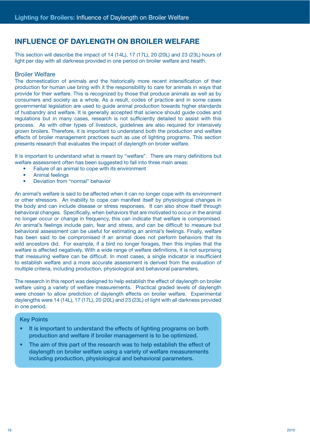# **INFLUENCE OF DAYLENGTH ON BROILER WELFARE**

This section will describe the impact of 14 (14L), 17 (17L), 20 (20L) and 23 (23L) hours of light per day with all darkness provided in one period on broiler welfare and health.

#### Broiler Welfare

The domestication of animals and the historically more recent intensification of their production for human use bring with it the responsibility to care for animals in ways that provide for their welfare. This is recognized by those that produce animals as well as by consumers and society as a whole. As a result, codes of practice and in some cases governmental legislation are used to guide animal production towards higher standards of husbandry and welfare. It is generally accepted that science should guide codes and regulations but in many cases, research is not sufficiently detailed to assist with this process. As with other types of livestock, guidelines are also required for intensively grown broilers. Therefore, it is important to understand both the production and welfare effects of broiler management practices such as use of lighting programs. This section presents research that evaluates the impact of daylength on broiler welfare.

It is important to understand what is meant by "welfare". There are many definitions but welfare assessment often has been suggested to fall into three main areas:

- Failure of an animal to cope with its environment
- Animal feelings
- Deviation from "normal" behavior

An animal's welfare is said to be affected when it can no longer cope with its environment or other stressors. An inability to cope can manifest itself by physiological changes in the body and can include disease or stress responses. It can also show itself through behavioral changes. Specifically, when behaviors that are motivated to occur in the animal no longer occur or change in frequency, this can indicate that welfare is compromised. An animal's feelings include pain, fear and stress, and can be difficult to measure but behavioral assessment can be useful for estimating an animal's feelings. Finally, welfare has been said to be compromised if an animal does not perform behaviors that its wild ancestors did. For example, if a bird no longer forages, then this implies that the welfare is affected negatively. With a wide range of welfare definitions, it is not surprising that measuring welfare can be difficult. In most cases, a single indicator is insufficient to establish welfare and a more accurate assessment is derived from the evaluation of multiple criteria, including production, physiological and behavioral parameters.

The research in this report was designed to help establish the effect of daylength on broiler welfare using a variety of welfare measurements. Practical graded levels of daylength were chosen to allow prediction of daylength effects on broiler welfare. Experimental daylengths were 14 (14L), 17 (17L), 20 (20L) and 23 (23L) of light with all darkness provided in one period.

#### Key Points

- It is important to understand the effects of lighting programs on both production and welfare if broiler management is to be optimized.
- The aim of this part of the research was to help establish the effect of daylength on broiler welfare using a variety of welfare measurements including production, physiological and behavioral parameters.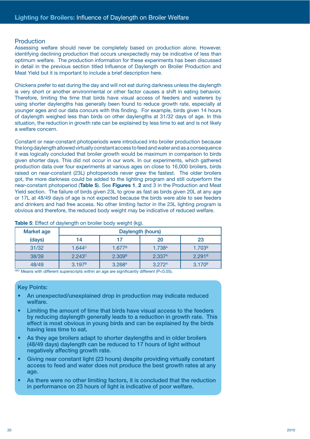## Production

Assessing welfare should never be completely based on production alone. However, identifying declining production that occurs unexpectedly may be indicative of less than optimum welfare. The production information for these experiments has been discussed in detail in the previous section titled Influence of Daylength on Broiler Production and Meat Yield but it is important to include a brief description here.

Chickens prefer to eat during the day and will not eat during darkness unless the daylength is very short or another environmental or other factor causes a shift in eating behavior. Therefore, limiting the time that birds have visual access of feeders and waterers by using shorter daylengths has generally been found to reduce growth rate, especially at younger ages and our data concurs with this finding. For example, birds given 14 hours of daylength weighed less than birds on other daylengths at 31/32 days of age. In this situation, the reduction in growth rate can be explained by less time to eat and is not likely a welfare concern.

Constant or near-constant photoperiods were introduced into broiler production because the long daylength allowed virtually constant access to feed and water and as a consequence it was logically concluded that broiler growth would be maximum in comparison to birds given shorter days. This did not occur in our work. In our experiments, which gathered production data over four experiments at various ages on close to 16,000 broilers, birds raised on near-constant (23L) photoperiods never grew the fastest. The older broilers got, the more darkness could be added to the lighting program and still outperform the near-constant photoperiod (**Table 5**). See **Figures 1**, **2** and 3 in the Production and Meat Yield section. The failure of birds given 23L to grow as fast as birds given 20L at any age or 17L at 48/49 days of age is not expected because the birds were able to see feeders and drinkers and had free access. No other limiting factor in the 23L lighting program is obvious and therefore, the reduced body weight may be indicative of reduced welfare.

| <b>Market age</b> |                    | Daylength (hours)  |                    |                    |  |  |  |  |  |  |
|-------------------|--------------------|--------------------|--------------------|--------------------|--|--|--|--|--|--|
| (days)            | 14                 | 17                 | 20                 | 23                 |  |  |  |  |  |  |
| 31/32             | 1.644 <sup>C</sup> | $1.677^B$          | 1.738 <sup>A</sup> | 1.703 <sup>B</sup> |  |  |  |  |  |  |
| 38/39             | $2.243^{\circ}$    | 2.309 <sup>B</sup> | 2.337 <sup>A</sup> | 2.291 <sup>B</sup> |  |  |  |  |  |  |
| 48/49             | 3.197 <sup>B</sup> | 3.268 <sup>A</sup> | 3.272 <sup>A</sup> | 3.170 <sup>B</sup> |  |  |  |  |  |  |

**Table 5**: Effect of daylength on broiler body weight (kg).

ABC Means with different superscripts within an age are significantly different (P<0.05).

#### Key Points:

- An unexpected/unexplained drop in production may indicate reduced welfare.
- Limiting the amount of time that birds have visual access to the feeders by reducing daylength generally leads to a reduction in growth rate. This effect is most obvious in young birds and can be explained by the birds having less time to eat.
- As they age broilers adapt to shorter daylengths and in older broilers (48/49 days) daylength can be reduced to 17 hours of light without negatively affecting growth rate.
- Giving near constant light (23 hours) despite providing virtually constant access to feed and water does not produce the best growth rates at any age.
- As there were no other limiting factors, it is concluded that the reduction in performance on 23 hours of light is indicative of poor welfare.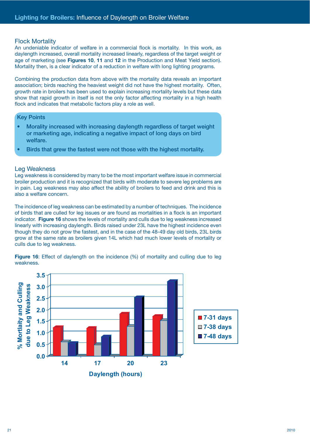#### Flock Mortality

An undeniable indicator of welfare in a commercial flock is mortality. In this work, as daylength increased, overall mortality increased linearly, regardless of the target weight or age of marketing (see **Figures 10**, **11** and **12** in the Production and Meat Yield section). Mortality then, is a clear indicator of a reduction in welfare with long lighting programs.

Combining the production data from above with the mortality data reveals an important association; birds reaching the heaviest weight did not have the highest mortality. Often, growth rate in broilers has been used to explain increasing mortality levels but these data show that rapid growth in itself is not the only factor affecting mortality in a high health flock and indicates that metabolic factors play a role as well.

#### Key Points

- Morality increased with increasing daylength regardless of target weight or marketing age, indicating a negative impact of long days on bird welfare.
- Birds that grew the fastest were not those with the highest mortality.

#### Leg Weakness

Leg weakness is considered by many to be the most important welfare issue in commercial broiler production and it is recognized that birds with moderate to severe leg problems are in pain. Leg weakness may also affect the ability of broilers to feed and drink and this is also a welfare concern.

The incidence of leg weakness can be estimated by a number of techniques. The incidence of birds that are culled for leg issues or are found as mortalities in a flock is an important indicator. **Figure 16** shows the levels of mortality and culls due to leg weakness increased linearly with increasing daylength. Birds raised under 23L have the highest incidence even though they do not grow the fastest, and in the case of the 48-49 day old birds, 23L birds grow at the same rate as broilers given 14L which had much lower levels of mortality or culls due to leg weakness.

![](_page_20_Figure_10.jpeg)

**Figure 16**: Effect of daylength on the incidence (%) of mortality and culling due to leg weakness.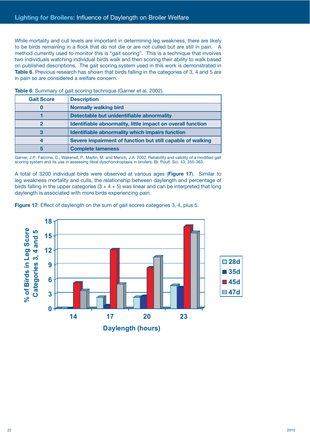While mortality and cull levels are important in determining leg weakness, there are likely to be birds remaining in a flock that do not die or are not culled but are still in pain. A method currently used to monitor this is "gait scoring". This is a technique that involves two individuals watching individual birds walk and then scoring their ability to walk based on published descriptions. The gait scoring system used in this work is demonstrated in **Table 6.** Previous research has shown that birds falling in the categories of 3, 4 and 5 are in pain so are considered a welfare concern.

| <b>Gait Score</b> | <b>Description</b>                                          |
|-------------------|-------------------------------------------------------------|
|                   | <b>Normally walking bird</b>                                |
|                   | Detectable but unidentifiable abnormality                   |
|                   | Identifiable abnormality, little impact on overall function |
|                   | <b>Identifiable abnormality which impairs function</b>      |
|                   | Severe impairment of function but still capable of walking  |
| 5                 | <b>Complete lameness</b>                                    |

**Table 6**: Summary of gait scoring technique (Garner et al. 2002).

Garner, J.P., Falcone, C., Wakenell, P., Martin, M. and Mench, J.A. 2002. Reliability and validity of a modified gait scoring system and its use in assessing tibial dyschondroplasia in broilers. Br. Poult. Sci. 43: 355-363.

A total of 3200 individual birds were observed at various ages (**Figure 17**). Similar to leg weakness mortality and culls, the relationship between daylength and percentage of birds falling in the upper categories  $(3 + 4 + 5)$  was linear and can be interpreted that long daylength is associated with more birds experiencing pain.

**Figure 17**: Effect of daylength on the sum of gait scores categories 3, 4, plus 5.

![](_page_21_Figure_7.jpeg)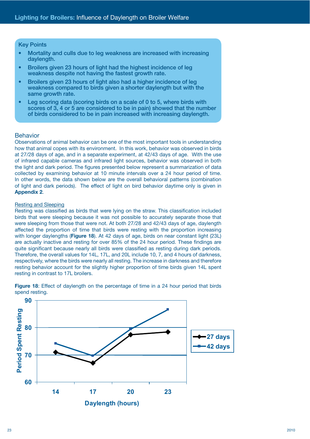#### Key Points

- Mortality and culls due to leg weakness are increased with increasing daylength.
- Broilers given 23 hours of light had the highest incidence of leg weakness despite not having the fastest growth rate.
- Broilers given 23 hours of light also had a higher incidence of leg weakness compared to birds given a shorter daylength but with the same growth rate.
- Leg scoring data (scoring birds on a scale of 0 to 5, where birds with scores of 3, 4 or 5 are considered to be in pain) showed that the number of birds considered to be in pain increased with increasing daylength.

#### Behavior

Observations of animal behavior can be one of the most important tools in understanding how that animal copes with its environment. In this work, behavior was observed in birds at 27/28 days of age, and in a separate experiment, at 42/43 days of age. With the use of infrared capable cameras and infrared light sources, behavior was observed in both the light and dark period. The figures presented below represent a summarization of data collected by examining behavior at 10 minute intervals over a 24 hour period of time. In other words, the data shown below are the overall behavioral patterns (combination of light and dark periods). The effect of light on bird behavior daytime only is given in **Appendix 2**.

#### Resting and Sleeping

Resting was classified as birds that were lying on the straw. This classification included birds that were sleeping because it was not possible to accurately separate those that were sleeping from those that were not. At both 27/28 and 42/43 days of age, daylength affected the proportion of time that birds were resting with the proportion increasing with longer daylengths (**Figure 18**). At 42 days of age, birds on near constant light (23L) are actually inactive and resting for over 85% of the 24 hour period. These findings are quite significant because nearly all birds were classified as resting during dark periods. Therefore, the overall values for 14L, 17L, and 20L include 10, 7, and 4 hours of darkness, respectively, where the birds were nearly all resting. The increase in darkness and therefore resting behavior account for the slightly higher proportion of time birds given 14L spent resting in contrast to 17L broilers.

![](_page_22_Figure_10.jpeg)

Figure 18: Effect of daylength on the percentage of time in a 24 hour period that birds spend resting.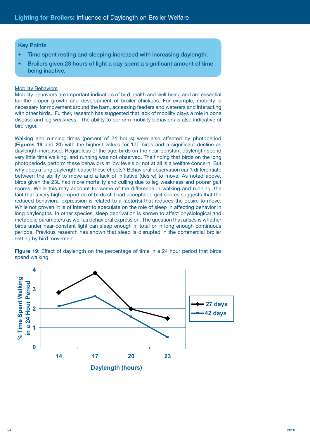# Key Points

- Time spent resting and sleeping increased with increasing daylength.
- Broilers given 23 hours of light a day spent a significant amount of time being inactive.

#### **Mobility Behaviors**

Mobility behaviors are important indicators of bird health and well being and are essential for the proper growth and development of broiler chickens. For example, mobility is necessary for movement around the barn, accessing feeders and waterers and interacting with other birds. Further, research has suggested that lack of mobility plays a role in bone disease and leg weakness. The ability to perform mobility behaviors is also indicative of bird vigor.

Walking and running times (percent of 24 hours) were also affected by photoperiod (**Figures 19** and **20**) with the highest values for 17L birds and a significant decline as daylength increased. Regardless of the age, birds on the near-constant daylength spend very little time walking, and running was not observed. The finding that birds on the long photoperiods perform these behaviors at low levels or not at all is a welfare concern. But why does a long daylength cause these effects? Behavioral observation can't differentiate between the ability to move and a lack of initiative (desire) to move. As noted above, birds given the 23L had more mortality and culling due to leg weakness and poorer gait scores. While this may account for some of the difference in walking and running, the fact that a very high proportion of birds still had acceptable gait scores suggests that the reduced behavioral expression is related to a factor(s) that reduces the desire to move. While not proven, it is of interest to speculate on the role of sleep in affecting behavior in long daylengths. In other species, sleep deprivation is known to affect physiological and metabolic parameters as well as behavioral expression. The question that arises is whether birds under near-constant light can sleep enough in total or in long enough continuous periods. Previous research has shown that sleep is disrupted in the commercial broiler setting by bird movement.

Figure 19: Effect of daylength on the percentage of time in a 24 hour period that birds spend walking.

![](_page_23_Figure_8.jpeg)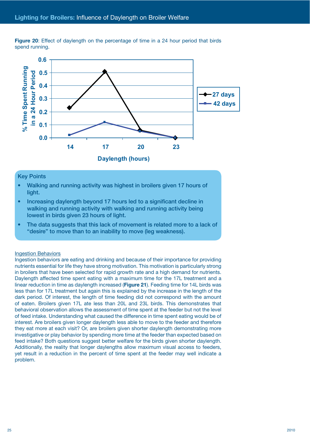![](_page_24_Figure_1.jpeg)

**Figure 20**: Effect of daylength on the percentage of time in a 24 hour period that birds spend running.

#### Key Points

- Walking and running activity was highest in broilers given 17 hours of light.
- Increasing daylength beyond 17 hours led to a significant decline in walking and running activity with walking and running activity being lowest in birds given 23 hours of light.
- The data suggests that this lack of movement is related more to a lack of "desire" to move than to an inability to move (leg weakness).

#### Ingestion Behaviors

Ingestion behaviors are eating and drinking and because of their importance for providing nutrients essential for life they have strong motivation. This motivation is particularly strong in broilers that have been selected for rapid growth rate and a high demand for nutrients. Daylength affected time spent eating with a maximum time for the 17L treatment and a linear reduction in time as daylength increased (**Figure 21**). Feeding time for 14L birds was less than for 17L treatment but again this is explained by the increase in the length of the dark period. Of interest, the length of time feeding did not correspond with the amount of eaten. Broilers given 17L ate less than 20L and 23L birds. This demonstrates that behavioral observation allows the assessment of time spent at the feeder but not the level of feed intake. Understanding what caused the difference in time spent eating would be of interest. Are broilers given longer daylength less able to move to the feeder and therefore they eat more at each visit? Or, are broilers given shorter daylength demonstrating more investigative or play behavior by spending more time at the feeder than expected based on feed intake? Both questions suggest better welfare for the birds given shorter daylength. Additionally, the reality that longer daylengths allow maximum visual access to feeders, yet result in a reduction in the percent of time spent at the feeder may well indicate a problem.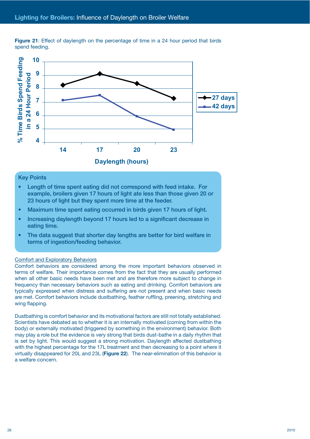![](_page_25_Figure_1.jpeg)

**Figure 21**: Effect of daylength on the percentage of time in a 24 hour period that birds spend feeding.

#### Key Points

- Length of time spent eating did not correspond with feed intake. For example, broilers given 17 hours of light ate less than those given 20 or 23 hours of light but they spent more time at the feeder.
- Maximum time spent eating occurred in birds given 17 hours of light.
- Increasing daylength beyond 17 hours led to a significant decrease in eating time.
- The data suggest that shorter day lengths are better for bird welfare in terms of ingestion/feeding behavior.

#### Comfort and Exploratory Behaviors

Comfort behaviors are considered among the more important behaviors observed in terms of welfare. Their importance comes from the fact that they are usually performed when all other basic needs have been met and are therefore more subject to change in frequency than necessary behaviors such as eating and drinking. Comfort behaviors are typically expressed when distress and suffering are not present and when basic needs are met. Comfort behaviors include dustbathing, feather ruffling, preening, stretching and wing flapping.

Dustbathing is comfort behavior and its motivational factors are still not totally established. Scientists have debated as to whether it is an internally motivated (coming from within the body) or externally motivated (triggered by something in the environment) behavior. Both may play a role but the evidence is very strong that birds dust-bathe in a daily rhythm that is set by light. This would suggest a strong motivation. Daylength affected dustbathing with the highest percentage for the 17L treatment and then decreasing to a point where it virtually disappeared for 20L and 23L (**Figure 22**). The near-elimination of this behavior is a welfare concern.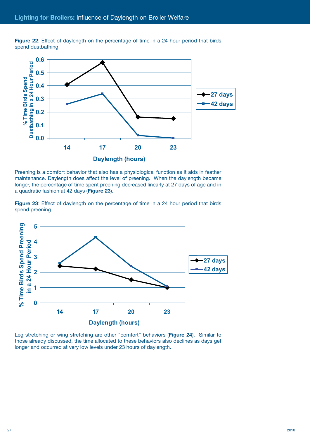![](_page_26_Figure_1.jpeg)

**Figure 22**: Effect of daylength on the percentage of time in a 24 hour period that birds spend dustbathing.

Preening is a comfort behavior that also has a physiological function as it aids in feather maintenance. Daylength does affect the level of preening. When the daylength became longer, the percentage of time spent preening decreased linearly at 27 days of age and in a quadratic fashion at 42 days (**Figure 23**).

**Figure 23**: Effect of daylength on the percentage of time in a 24 hour period that birds spend preening.

![](_page_26_Figure_5.jpeg)

Leg stretching or wing stretching are other "comfort" behaviors (**Figure 24**). Similar to those already discussed, the time allocated to these behaviors also declines as days get longer and occurred at very low levels under 23 hours of daylength.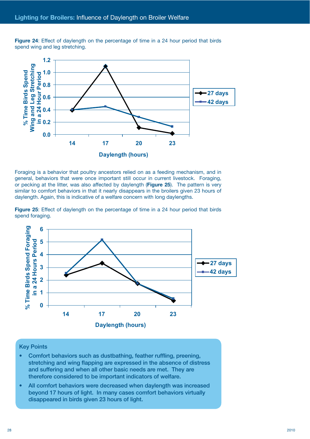**Figure 24**: Effect of daylength on the percentage of time in a 24 hour period that birds spend wing and leg stretching.

![](_page_27_Figure_2.jpeg)

Foraging is a behavior that poultry ancestors relied on as a feeding mechanism, and in general, behaviors that were once important still occur in current livestock. Foraging, or pecking at the litter, was also affected by daylength (**Figure 25**). The pattern is very similar to comfort behaviors in that it nearly disappears in the broilers given 23 hours of daylength. Again, this is indicative of a welfare concern with long daylengths.

**Figure 25**: Effect of daylength on the percentage of time in a 24 hour period that birds spend foraging.

![](_page_27_Figure_5.jpeg)

#### Key Points

- Comfort behaviors such as dustbathing, feather ruffling, preening, stretching and wing flapping are expressed in the absence of distress and suffering and when all other basic needs are met. They are therefore considered to be important indicators of welfare.
- All comfort behaviors were decreased when daylength was increased beyond 17 hours of light. In many cases comfort behaviors virtually disappeared in birds given 23 hours of light.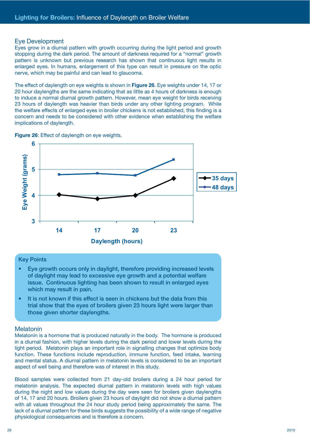#### Eye Development

Eyes grow in a diurnal pattern with growth occurring during the light period and growth stopping during the dark period. The amount of darkness required for a "normal" growth pattern is unknown but previous research has shown that continuous light results in enlarged eyes. In humans, enlargement of this type can result in pressure on the optic nerve, which may be painful and can lead to glaucoma.

The effect of daylength on eye weights is shown in **Figure 26**. Eye weights under 14, 17 or 20 hour daylengths are the same indicating that as little as 4 hours of darkness is enough to induce a normal diurnal growth pattern. However, mean eye weight for birds receiving 23 hours of daylength was heavier than birds under any other lighting program. While the welfare effects of enlarged eyes in broiler chickens is not established, this finding is a concern and needs to be considered with other evidence when establishing the welfare implications of daylength.

**Figure 26**: Effect of daylength on eye weights.

![](_page_28_Figure_5.jpeg)

# Key Points

- Eye growth occurs only in daylight, therefore providing increased levels of daylight may lead to excessive eye growth and a potential welfare issue. Continuous lighting has been shown to result in enlarged eyes which may result in pain.
- It is not known if this effect is seen in chickens but the data from this trial show that the eyes of broilers given 23 hours light were larger than those given shorter daylengths.

#### Melatonin

Melatonin is a hormone that is produced naturally in the body. The hormone is produced in a diurnal fashion, with higher levels during the dark period and lower levels during the light period. Melatonin plays an important role in signalling changes that optimize body function. These functions include reproduction, immune function, feed intake, learning and mental status. A diurnal pattern in melatonin levels is considered to be an important aspect of well being and therefore was of interest in this study.

Blood samples were collected from 21 day-old broilers during a 24 hour period for melatonin analysis. The expected diurnal pattern in melatonin levels with high values during the night and low values during the day were seen for broilers given daylengths of 14, 17 and 20 hours. Broilers given 23 hours of daylight did not show a diurnal pattern with all values throughout the 24 hour study period being approximately the same. The lack of a diurnal pattern for these birds suggests the possibility of a wide range of negative physiological consequences and is therefore a concern.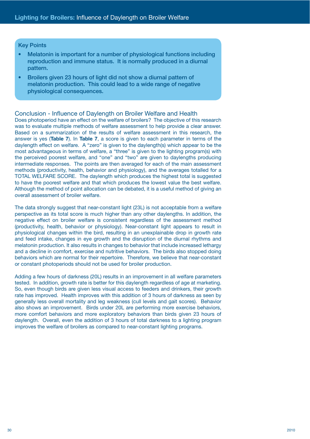#### Key Points

- Melatonin is important for a number of physiological functions including reproduction and immune status. It is normally produced in a diurnal pattern.
- Broilers given 23 hours of light did not show a diurnal pattern of melatonin production. This could lead to a wide range of negative physiological consequences.

#### Conclusion - Influence of Daylength on Broiler Welfare and Health

Does photoperiod have an effect on the welfare of broilers? The objective of this research was to evaluate multiple methods of welfare assessment to help provide a clear answer. Based on a summarization of the results of welfare assessment in this research, the answer is yes (**Table 7**). In **Table 7**, a score is given to each parameter in terms of the daylength effect on welfare. A "zero" is given to the daylength(s) which appear to be the most advantageous in terms of welfare, a "three" is given to the lighting program(s) with the perceived poorest welfare, and "one" and "two" are given to daylengths producing intermediate responses. The points are then averaged for each of the main assessment methods (productivity, health, behavior and physiology), and the averages totalled for a TOTAL WELFARE SCORE. The daylength which produces the highest total is suggested to have the poorest welfare and that which produces the lowest value the best welfare. Although the method of point allocation can be debated, it is a useful method of giving an overall assessment of broiler welfare.

The data strongly suggest that near-constant light (23L) is not acceptable from a welfare perspective as its total score is much higher than any other daylengths. In addition, the negative effect on broiler welfare is consistent regardless of the assessment method (productivity, health, behavior or physiology). Near-constant light appears to result in physiological changes within the bird, resulting in an unexplainable drop in growth rate and feed intake, changes in eye growth and the disruption of the diurnal rhythms and melatonin production. It also results in changes to behavior that include increased lethargy and a decline in comfort, exercise and nutritive behaviors. The birds also stopped doing behaviors which are normal for their repertoire. Therefore, we believe that near-constant or constant photoperiods should not be used for broiler production.

Adding a few hours of darkness (20L) results in an improvement in all welfare parameters tested. In addition, growth rate is better for this daylength regardless of age at marketing. So, even though birds are given less visual access to feeders and drinkers, their growth rate has improved. Health improves with this addition of 3 hours of darkness as seen by generally less overall mortality and leg weakness (cull levels and gait scores). Behavior also shows an improvement. Birds under 20L are performing more exercise behaviors, more comfort behaviors and more exploratory behaviors than birds given 23 hours of daylength. Overall, even the addition of 3 hours of total darkness to a lighting program improves the welfare of broilers as compared to near-constant lighting programs.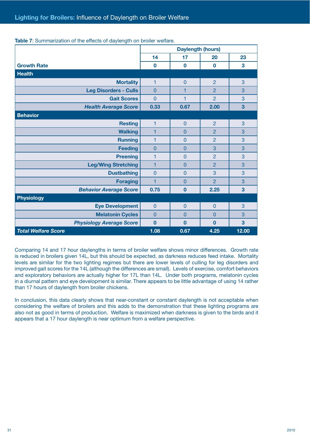|                                 |                | <b>Daylength (hours)</b> |                |       |
|---------------------------------|----------------|--------------------------|----------------|-------|
|                                 | 14             | 17                       | 20             | 23    |
| <b>Growth Rate</b>              | $\bf{0}$       | $\bf{0}$                 | $\mathbf 0$    | 3     |
| <b>Health</b>                   |                |                          |                |       |
| <b>Mortality</b>                | $\mathbf{1}$   | $\mathbf 0$              | $\overline{2}$ | 3     |
| <b>Leg Disorders - Culls</b>    | $\overline{0}$ | 1                        | $\overline{P}$ | 3     |
| <b>Gait Scores</b>              | $\overline{0}$ | 1                        | $\overline{2}$ | 3     |
| <b>Health Average Score</b>     | 0.33           | 0.67                     | 2.00           | 3     |
| <b>Behavior</b>                 |                |                          |                |       |
| <b>Resting</b>                  | 1              | $\overline{0}$           | $\overline{2}$ | 3     |
| <b>Walking</b>                  | 1              | $\mathbf{0}$             | $\overline{2}$ | 3     |
| <b>Running</b>                  | 1              | $\mathbf{0}$             | $\overline{2}$ | 3     |
| <b>Feeding</b>                  | $\overline{0}$ | $\overline{0}$           | 3              | 3     |
| <b>Preening</b>                 | 1              | $\overline{0}$           | $\overline{2}$ | 3     |
| <b>Leg/Wing Stretching</b>      | 1              | 0                        | $\overline{2}$ | 3     |
| <b>Dustbathing</b>              | $\mathbf{0}$   | $\mathbf{0}$             | 3              | 3     |
| <b>Foraging</b>                 | 1              | $\mathbf 0$              | $\overline{2}$ | 3     |
| <b>Behavior Average Score</b>   | 0.75           | $\mathbf{0}$             | 2.25           | 3     |
| <b>Physiology</b>               |                |                          |                |       |
| <b>Eye Development</b>          | $\mathbf{0}$   | $\mathbf{0}$             | $\overline{0}$ | 3     |
| <b>Melatonin Cycles</b>         | $\Omega$       | $\overline{0}$           | $\Omega$       | 3     |
| <b>Physiology Average Score</b> | $\overline{0}$ | $\bf{0}$                 | $\mathbf{0}$   | 3     |
| <b>Total Welfare Score</b>      | 1.08           | 0.67                     | 4.25           | 12.00 |

**Table 7**: Summarization of the effects of daylength on broiler welfare.

Comparing 14 and 17 hour daylengths in terms of broiler welfare shows minor differences. Growth rate is reduced in broilers given 14L, but this should be expected, as darkness reduces feed intake. Mortality levels are similar for the two lighting regimes but there are lower levels of culling for leg disorders and improved gait scores for the 14L (although the differences are small). Levels of exercise, comfort behaviors and exploratory behaviors are actually higher for 17L than 14L. Under both programs, melatonin cycles in a diurnal pattern and eye development is similar. There appears to be little advantage of using 14 rather than 17 hours of daylength from broiler chickens.

In conclusion, this data clearly shows that near-constant or constant daylength is not acceptable when considering the welfare of broilers and this adds to the demonstration that these lighting programs are also not as good in terms of production. Welfare is maximized when darkness is given to the birds and it appears that a 17 hour daylength is near optimum from a welfare perspective.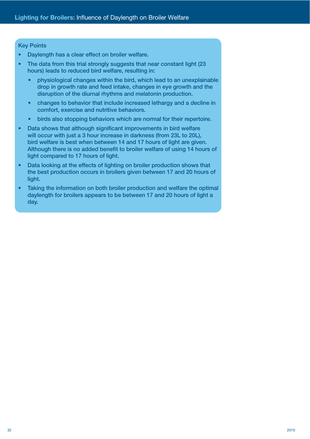# Key Points

- Daylength has a clear effect on broiler welfare.
- The data from this trial strongly suggests that near constant light (23) hours) leads to reduced bird welfare, resulting in:
	- physiological changes within the bird, which lead to an unexplainable drop in growth rate and feed intake, changes in eye growth and the disruption of the diurnal rhythms and melatonin production.
	- changes to behavior that include increased lethargy and a decline in comfort, exercise and nutritive behaviors.
	- birds also stopping behaviors which are normal for their repertoire.
- Data shows that although significant improvements in bird welfare will occur with just a 3 hour increase in darkness (from 23L to 20L), bird welfare is best when between 14 and 17 hours of light are given. Although there is no added benefit to broiler welfare of using 14 hours of light compared to 17 hours of light.
- Data looking at the effects of lighting on broiler production shows that the best production occurs in broilers given between 17 and 20 hours of light.
- Taking the information on both broiler production and welfare the optimal daylength for broilers appears to be between 17 and 20 hours of light a day.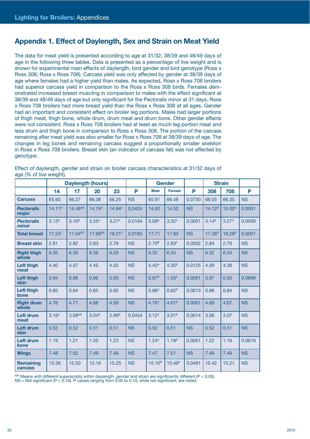# **Appendix 1. Effect of Daylength, Sex and Strain on Meat Yield**

The data for meat yield is presented according to age at 31/32, 38/39 and 48/49 days of age in the following three tables. Data is presented as a percentage of live weight and is shown for experimental main effects of daylength, bird gender and bird genotype (Ross x Ross 308; Ross x Ross 708). Carcass yield was only affected by gender at 38/39 days of age where females had a higher yield than males. As expected, Ross x Ross 708 broilers had superior carcass yield in comparison to the Ross x Ross 308 birds. Females demonstrated increased breast muscling in comparison to males with the effect significant at 38/39 and 48/49 days of age but only significant for the Pectoralis minor at 31 days. Ross x Ross 708 broilers had more breast yield than the Ross x Ross 308 at all ages. Gender had an important and consistent effect on broiler leg portions. Males had larger portions of thigh meat, thigh bone, whole drum, drum meat and drum bone. Other gender effects were not consistent. Ross x Ross 708 broilers had at least as much leg portion meat and less drum and thigh bone in comparison to Ross x Ross 308. The portion of the carcass remaining after meat yield was also smaller for Ross x Ross 708 at 38/39 days of age. The changes in leg bones and remaining carcass suggest a proportionally smaller skeleton in Ross x Ross 708 broilers. Breast skin (an indicator of carcass fat) was not affected by genotype.

|                             | <b>Daylength (hours)</b> |                     |                   |                    |           |                   | <b>Gender</b>      |           |                    | <b>Strain</b>      |           |
|-----------------------------|--------------------------|---------------------|-------------------|--------------------|-----------|-------------------|--------------------|-----------|--------------------|--------------------|-----------|
|                             | 14                       | 17                  | 20                | 23                 | P         | <b>Male</b>       | <b>Female</b>      | P         | 308                | 708                | P         |
| <b>Carcass</b>              | 65.90                    | 66.27               | 66.38             | 66.25              | <b>NS</b> | 65.91             | 66.48              | 0.0730    | 66.05              | 66.35              | <b>NS</b> |
| <b>Pectoralis</b><br>major  | $14.11^{B}$              | 14.48AB             | $14.74^{A}$       | 14.94 <sup>A</sup> | 0.0424    | 14.62             | 14.52              | <b>NS</b> | $14.12^{B}$        | 15.02 <sup>A</sup> | 0.0001    |
| <b>Pectoralis</b><br>minor  | 3.13 <sup>B</sup>        | 3.16 <sup>B</sup>   | 3.25 <sup>A</sup> | 3.27 <sup>A</sup>  | 0.0164    | 3.09 <sup>B</sup> | 3.32 <sup>A</sup>  | 0.0001    | 3.14 <sup>B</sup>  | 3.27 <sup>A</sup>  | 0.0009    |
| <b>Total breast</b>         | 17.24 <sup>c</sup>       | 17.64 <sup>BC</sup> | 17.99AB           | $18.21^A$          | 0.0183    | 17.71             | 17.83              | <b>NS</b> | 17.26 <sup>B</sup> | 18.28 <sup>A</sup> | 0.0001    |
| <b>Breast skin</b>          | 2.81                     | 2.82                | 2.83              | 2.79               | <b>NS</b> | 2.70 <sup>B</sup> | 2.93 <sup>A</sup>  | 0.0002    | 2.84               | 2.79               | <b>NS</b> |
| <b>Right thigh</b><br>whole | 6.35                     | 6.30                | 6.39              | 6.29               | <b>NS</b> | 6.32              | 6.34               | <b>NS</b> | 6.32               | 6.34               | <b>NS</b> |
| Left thigh<br>meat          | 4.40                     | 4.37                | 4.45              | 4.32               | <b>NS</b> | 4.42 <sup>A</sup> | 4.35 <sup>B</sup>  | 0.0125    | 4.39               | 4.38               | <b>NS</b> |
| <b>Left thigh</b><br>skin   | 0.94                     | 0.96                | 0.96              | 0.93               | <b>NS</b> | 0.87 <sup>B</sup> | 1.03 <sup>A</sup>  | 0.0001    | 0.97               | 0.93               | 0.0898    |
| Left thigh<br>bone          | 0.85                     | 0.84                | 0.85              | 0.85               | <b>NS</b> | 0.88 <sup>A</sup> | 0.82 <sup>B</sup>  | 0.0013    | 0.86               | 0.84               | <b>NS</b> |
| <b>Right drum</b><br>whole  | 4.76                     | 4.71                | 4.68              | 4.59               | <b>NS</b> | 4.76 <sup>A</sup> | 4.61 <sup>B</sup>  | 0.0001    | 4.69               | 4.67               | <b>NS</b> |
| <b>Left drum</b><br>meat    | 3.16 <sup>A</sup>        | 3.09 <sub>AB</sub>  | 3.04 <sup>B</sup> | 2.99 <sup>B</sup>  | 0.0454    | 3.12 <sup>A</sup> | 3.01 <sup>B</sup>  | 0.0014    | 3.06               | 3.07               | <b>NS</b> |
| <b>Left drum</b><br>skin    | 0.52                     | 0.52                | 0.51              | 0.51               | <b>NS</b> | 0.52              | 0.51               | <b>NS</b> | 0.52               | 0.51               | <b>NS</b> |
| <b>Left drum</b><br>bone    | 1.19                     | 1.21                | 1.20              | 1.23               | <b>NS</b> | 1.24 <sup>A</sup> | 1.18 <sup>B</sup>  | 0.0051    | 1.22               | 1.19               | 0.0619    |
| <b>Wings</b>                | 7.48                     | 7.52                | 7.49              | 7.46               | <b>NS</b> | 7.47              | 7.51               | <b>NS</b> | 7.49               | 7.49               | <b>NS</b> |
| <b>Remaining</b><br>carcass | 15.36                    | 15.50               | 15.16             | 15.25              | <b>NS</b> | $15.15^{B}$       | 15.49 <sup>A</sup> | 0.0491    | 15.42              | 15.21              | <b>NS</b> |

Effect of daylength, gender and strain on broiler carcass characteristics at 31/32 days of age (% of live weight).

 $A^{BC}$  Means with different superscripts within daylength, gender and strain are significantly different (P < 0.05).

NS = Not significant (P < 0.10). P values ranging from 0.05 to 0.10, while not significant, are noted.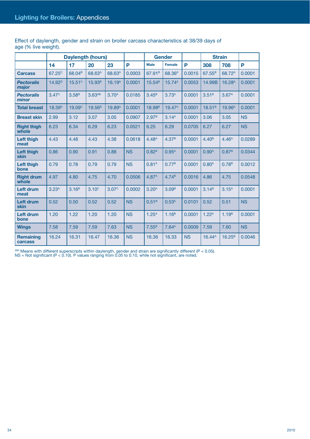|                                  |                    |                    | <b>Daylength (hours)</b> |                    |           |                    | <b>Gender</b>      |           |                    | <b>Strain</b>      |           |
|----------------------------------|--------------------|--------------------|--------------------------|--------------------|-----------|--------------------|--------------------|-----------|--------------------|--------------------|-----------|
|                                  | 14                 | 17                 | 20                       | 23                 | P         | <b>Male</b>        | <b>Female</b>      | P         | 308                | 708                | P         |
| <b>Carcass</b>                   | 67.25 <sup>c</sup> | 68.04 <sup>B</sup> | 68.63 <sup>A</sup>       | 68.63 <sup>A</sup> | 0.0003    | 67.91 <sup>B</sup> | 68.36 <sup>A</sup> | 0.0015    | 67.55 <sup>B</sup> | 68.72 <sup>A</sup> | 0.0001    |
| <b>Pectoralis</b><br>major       | 14.92 <sup>D</sup> | 15.51 <sup>c</sup> | 15.93 <sup>B</sup>       | 16.19 <sup>A</sup> | 0.0001    | 15.54 <sup>B</sup> | 15.74 <sup>A</sup> | 0.0053    | 14.99B             | 16.28 <sup>A</sup> | 0.0001    |
| <b>Pectoralis</b><br>minor       | 3.47 <sup>c</sup>  | 3.58 <sup>B</sup>  | 3.63 <sub>AB</sub>       | 3.70 <sup>A</sup>  | 0.0185    | 3.45 <sup>B</sup>  | 3.73 <sup>A</sup>  | 0.0001    | 3.51 <sup>B</sup>  | 3.67 <sup>A</sup>  | 0.0001    |
| <b>Total breast</b>              | 18.39 <sup>D</sup> | 19.09 <sup>c</sup> | 19.56 <sup>B</sup>       | 19.89 <sup>A</sup> | 0.0001    | 18.98 <sup>B</sup> | 19.47 <sup>A</sup> | 0.0001    | $18.51^{B}$        | 19.96 <sup>A</sup> | 0.0001    |
| <b>Breast skin</b>               | 2.99               | 3.12               | 3.07                     | 3.05               | 0.0907    | 2.97 <sup>B</sup>  | 3.14 <sup>A</sup>  | 0.0001    | 3.06               | 3.05               | <b>NS</b> |
| <b>Right thigh</b><br>whole      | 6.23               | 6.34               | 6.29                     | 6.23               | 0.0521    | 6.25               | 6.29               | 0.0705    | 6.27               | 6.27               | <b>NS</b> |
| Left thigh<br>meat               | 4.43               | 4.48               | 4.43                     | 4.38               | 0.0618    | 4.48 <sup>A</sup>  | 4.37 <sup>B</sup>  | 0.0001    | 4.40 <sup>B</sup>  | 4.46 <sup>A</sup>  | 0.0289    |
| <b>Left thigh</b><br><b>skin</b> | 0.86               | 0.90               | 0.91                     | 0.88               | <b>NS</b> | 0.82 <sup>B</sup>  | $0.95^{A}$         | 0.0001    | 0.90 <sup>A</sup>  | 0.87 <sup>B</sup>  | 0.0344    |
| Left thigh<br>bone               | 0.79               | 0.78               | 0.79                     | 0.79               | <b>NS</b> | 0.81 <sup>A</sup>  | 0.77 <sup>B</sup>  | 0.0001    | $0.80^{A}$         | 0.78 <sup>B</sup>  | 0.0012    |
| <b>Right drum</b><br>whole       | 4.97               | 4.80               | 4.75                     | 4.70               | 0.0506    | 4.87 <sup>A</sup>  | 4.74 <sup>B</sup>  | 0.0016    | 4.86               | 4.75               | 0.0548    |
| <b>Left drum</b><br>meat         | 3.23 <sup>A</sup>  | 3.16 <sup>B</sup>  | 3.10 <sup>c</sup>        | 3.07 <sup>c</sup>  | 0.0002    | 3.20 <sup>A</sup>  | 3.09 <sup>B</sup>  | 0.0001    | 3.14 <sup>B</sup>  | 3.15 <sup>A</sup>  | 0.0001    |
| <b>Left drum</b><br>skin         | 0.52               | 0.50               | 0.52                     | 0.52               | <b>NS</b> | 0.51 <sup>B</sup>  | 0.53 <sup>A</sup>  | 0.0101    | 0.52               | 0.51               | <b>NS</b> |
| <b>Left drum</b><br>bone         | 1.20               | 1.22               | 1.20                     | 1.20               | <b>NS</b> | 1.25 <sup>A</sup>  | 1.16 <sup>B</sup>  | 0.0001    | 1.22 <sup>A</sup>  | 1.19 <sup>B</sup>  | 0.0001    |
| <b>Wings</b>                     | 7.58               | 7.59               | 7.59                     | 7.63               | <b>NS</b> | 7.55 <sup>B</sup>  | 7.64 <sup>A</sup>  | 0.0009    | 7.59               | 7.60               | <b>NS</b> |
| <b>Remaining</b><br>carcass      | 16.24              | 16.31              | 16.47                    | 16.36              | <b>NS</b> | 16.36              | 16.33              | <b>NS</b> | $16.44^{\text{A}}$ | $16.25^{B}$        | 0.0046    |

Effect of daylength, gender and strain on broiler carcass characteristics at 38/39 days of age (% live weight).

 $A^{BC}$  Means with different superscripts within daylength, gender and strain are significantly different (P < 0.05).

NS = Not significant (P < 0.10). P values ranging from 0.05 to 0.10, while not significant, are noted.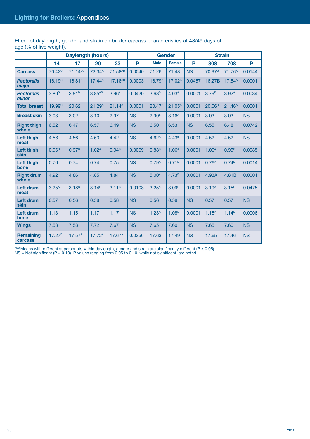| Effect of daylength, gender and strain on broiler carcass characteristics at 48/49 days of |  |  |  |  |
|--------------------------------------------------------------------------------------------|--|--|--|--|
| age (% of live weight).                                                                    |  |  |  |  |
|                                                                                            |  |  |  |  |

|                             |                    | <b>Daylength (hours)</b> |                      |                     |           |                    | <b>Gender</b>      |           |                    | <b>Strain</b>      |           |
|-----------------------------|--------------------|--------------------------|----------------------|---------------------|-----------|--------------------|--------------------|-----------|--------------------|--------------------|-----------|
|                             | 14                 | 17                       | 20                   | 23                  | P         | <b>Male</b>        | Female             | P         | 308                | 708                | P         |
| <b>Carcass</b>              | 70.42 <sup>c</sup> | 71.14 <sup>BC</sup>      | 72.34 <sup>A</sup>   | 71.58AB             | 0.0040    | 71.26              | 71.48              | <b>NS</b> | 70.97 <sup>B</sup> | 71.76 <sup>A</sup> | 0.0144    |
| <b>Pectoralis</b><br>major  | 16.19 <sup>c</sup> | 16.81 <sup>B</sup>       | $17.44^{\text{A}}$   | 17.18 <sup>AB</sup> | 0.0003    | 16.79 <sup>B</sup> | 17.02 <sup>A</sup> | 0.0457    | 16.27B             | 17.54 <sup>A</sup> | 0.0001    |
| <b>Pectoralis</b><br>minor  | 3.80 <sup>B</sup>  | 3.81 <sup>B</sup>        | $3.85$ <sup>AB</sup> | 3.96 <sup>A</sup>   | 0.0420    | 3.68 <sup>B</sup>  | 4.03 <sup>A</sup>  | 0.0001    | 3.79 <sup>B</sup>  | 3.92 <sup>A</sup>  | 0.0034    |
| <b>Total breast</b>         | 19.99 <sup>c</sup> | 20.62 <sup>B</sup>       | 21.29 <sup>A</sup>   | 21.14 <sup>A</sup>  | 0.0001    | 20.47 <sup>B</sup> | $21.05^{A}$        | 0.0001    | 20.06 <sup>B</sup> | 21.46 <sup>A</sup> | 0.0001    |
| <b>Breast skin</b>          | 3.03               | 3.02                     | 3.10                 | 2.97                | <b>NS</b> | 2.90 <sup>B</sup>  | 3.16 <sup>A</sup>  | 0.0001    | 3.03               | 3.03               | <b>NS</b> |
| <b>Right thigh</b><br>whole | 6.52               | 6.47                     | 6.57                 | 6.49                | <b>NS</b> | 6.50               | 6.53               | <b>NS</b> | 6.55               | 6.48               | 0.0742    |
| Left thigh<br>meat          | 4.58               | 4.56                     | 4.53                 | 4.42                | <b>NS</b> | 4.62 <sup>A</sup>  | 4.43 <sup>B</sup>  | 0.0001    | 4.52               | 4.52               | <b>NS</b> |
| Left thigh<br>skin          | 0.96 <sup>B</sup>  | 0.97 <sup>B</sup>        | 1.02 <sup>A</sup>    | 0.94 <sup>B</sup>   | 0.0069    | 0.88 <sup>B</sup>  | 1.06 <sup>A</sup>  | 0.0001    | 1.00 <sup>A</sup>  | 0.95 <sup>B</sup>  | 0.0085    |
| Left thigh<br>bone          | 0.76               | 0.74                     | 0.74                 | 0.75                | <b>NS</b> | 0.79 <sup>A</sup>  | 0.71 <sup>B</sup>  | 0.0001    | 0.76 <sup>A</sup>  | 0.74 <sup>B</sup>  | 0.0014    |
| <b>Right drum</b><br>whole  | 4.92               | 4.86                     | 4.85                 | 4.84                | <b>NS</b> | 5.00 <sup>A</sup>  | 4.73 <sup>B</sup>  | 0.0001    | 4.93A              | 4.81B              | 0.0001    |
| Left drum<br>meat           | 3.25 <sup>A</sup>  | 3.18 <sup>B</sup>        | 3.14 <sup>B</sup>    | 3.11 <sup>B</sup>   | 0.0108    | $3.25^{A}$         | 3.09 <sup>B</sup>  | 0.0001    | 3.19 <sup>A</sup>  | 3.15 <sup>B</sup>  | 0.0475    |
| <b>Left drum</b><br>skin    | 0.57               | 0.56                     | 0.58                 | 0.58                | <b>NS</b> | 0.56               | 0.58               | <b>NS</b> | 0.57               | 0.57               | <b>NS</b> |
| Left drum<br>bone           | 1.13               | 1.15                     | 1.17                 | 1.17                | <b>NS</b> | 1.23 <sup>A</sup>  | 1.08 <sup>B</sup>  | 0.0001    | 1.18 <sup>A</sup>  | 1.14 <sup>B</sup>  | 0.0006    |
| <b>Wings</b>                | 7.53               | 7.58                     | 7.72                 | 7.67                | <b>NS</b> | 7.65               | 7.60               | <b>NS</b> | 7.65               | 7.60               | <b>NS</b> |
| <b>Remaining</b><br>carcass | 17.27 <sup>B</sup> | 17.57 <sup>A</sup>       | 17.72 <sup>A</sup>   | 17.67 <sup>A</sup>  | 0.0356    | 17.63              | 17.49              | <b>NS</b> | 17.65              | 17.46              | <b>NS</b> |

 $A^{BC}$  Means with different superscripts within daylength, gender and strain are significantly different (P < 0.05).

NS = Not significant (P < 0.10). P values ranging from 0.05 to 0.10, while not significant, are noted.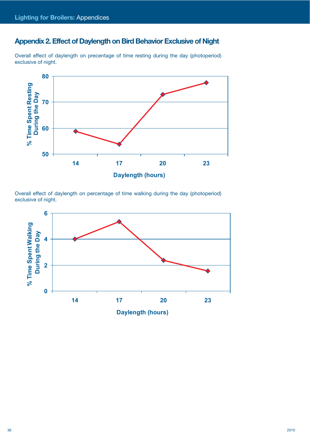# **Appendix 2. Effect of Daylength on Bird Behavior Exclusive of Night**

![](_page_35_Figure_2.jpeg)

![](_page_35_Figure_3.jpeg)

Overall effect of daylength on percentage of time walking during the day (photoperiod) exclusive of night.

![](_page_35_Figure_5.jpeg)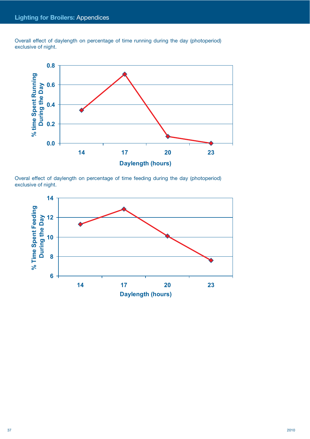Overall effect of daylength on percentage of time running during the day (photoperiod) exclusive of night.

![](_page_36_Figure_2.jpeg)

Overal effect of daylength on percentage of time feeding during the day (photoperiod) exclusive of night.

![](_page_36_Figure_4.jpeg)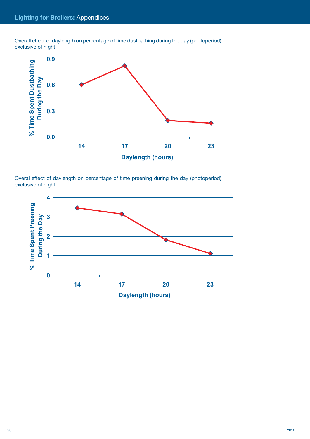Overall effect of daylength on percentage of time dustbathing during the day (photoperiod) exclusive of night.

![](_page_37_Figure_2.jpeg)

Overal effect of daylength on percentage of time preening during the day (photoperiod) exclusive of night.

![](_page_37_Figure_4.jpeg)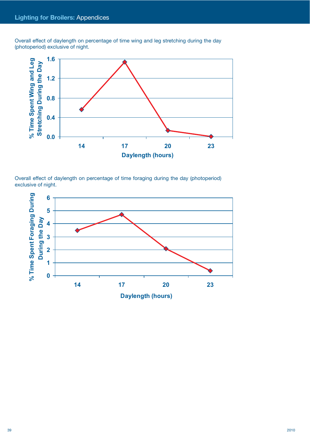Overall effect of daylength on percentage of time wing and leg stretching during the day (photoperiod) exclusive of night.

![](_page_38_Figure_2.jpeg)

Overall effect of daylength on percentage of time foraging during the day (photoperiod) exclusive of night.

![](_page_38_Figure_4.jpeg)